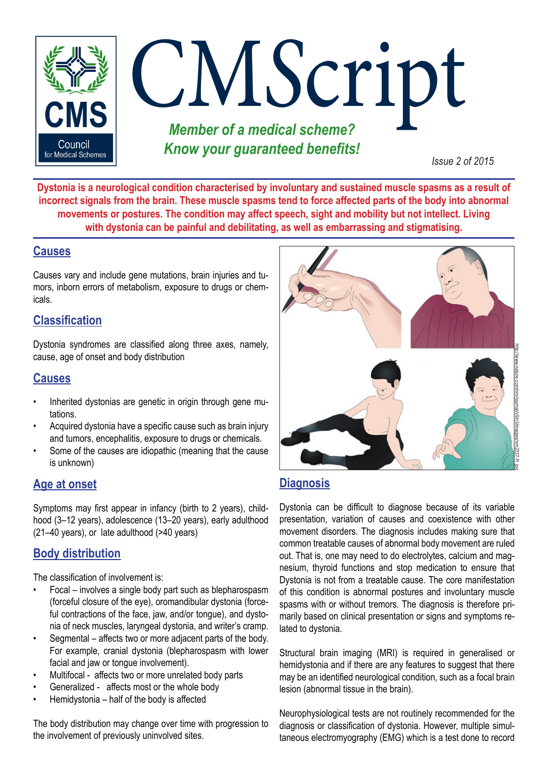

**Dystonia is a neurological condition characterised by involuntary and sustained muscle spasms as a result of incorrect signals from the brain. These muscle spasms tend to force affected parts of the body into abnormal movements or postures. The condition may affect speech, sight and mobility but not intellect. Living with dystonia can be painful and debilitating, as well as embarrassing and stigmatising.** 

# **Causes**

Causes vary and include gene mutations, brain injuries and tumors, inborn errors of metabolism, exposure to drugs or chemicals.

## **Classification**

Dystonia syndromes are classified along three axes, namely, cause, age of onset and body distribution

# **Causes**

- Inherited dystonias are genetic in origin through gene mutations.
- Acquired dystonia have a specific cause such as brain injury and tumors, encephalitis, exposure to drugs or chemicals.
- Some of the causes are idiopathic (meaning that the cause is unknown)

# **Age at onset**

Symptoms may first appear in infancy (birth to 2 years), childhood (3–12 years), adolescence (13–20 years), early adulthood (21–40 years), or late adulthood (>40 years)

# **Body distribution**

The classification of involvement is:

- Focal involves a single body part such as blepharospasm (forceful closure of the eye), oromandibular dystonia (forceful contractions of the face, jaw, and/or tongue), and dystonia of neck muscles, laryngeal dystonia, and writer's cramp.
- Segmental affects two or more adjacent parts of the body. For example, cranial dystonia (blepharospasm with lower facial and jaw or tongue involvement).
- Multifocal affects two or more unrelated body parts
- Generalized affects most or the whole body
- Hemidystonia half of the body is affected

The body distribution may change over time with progression to the involvement of previously uninvolved sites.



# **Diagnosis**

Dystonia can be difficult to diagnose because of its variable presentation, variation of causes and coexistence with other movement disorders. The diagnosis includes making sure that common treatable causes of abnormal body movement are ruled out. That is, one may need to do electrolytes, calcium and magnesium, thyroid functions and stop medication to ensure that Dystonia is not from a treatable cause. The core manifestation of this condition is abnormal postures and involuntary muscle spasms with or without tremors. The diagnosis is therefore primarily based on clinical presentation or signs and symptoms related to dystonia. **Diagnosis**<br>
Dystonia can be difficult to diagnose because of its variable<br>
presentation, variation of causes and coexistence with other<br>
movement disorders. The diagnosis includes making sure that<br>
common treatable causes

Structural brain imaging (MRI) is required in generalised or hemidystonia and if there are any features to suggest that there may be an identified neurological condition, such as a focal brain lesion (abnormal tissue in the brain).

Neurophysiological tests are not routinely recommended for the diagnosis or classification of dystonia. However, multiple simul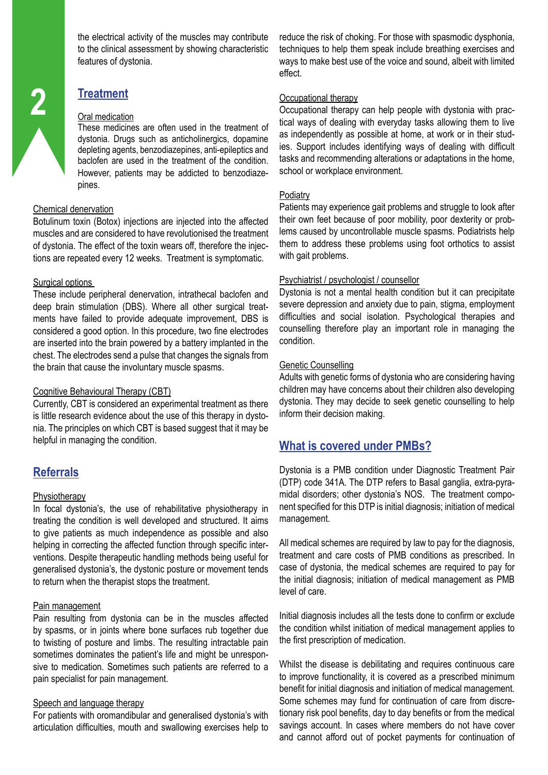the electrical activity of the muscles may contribute to the clinical assessment by showing characteristic features of dystonia.

# **Treatment**

#### Oral medication

These medicines are often used in the treatment of dystonia. Drugs such as anticholinergics, dopamine depleting agents, benzodiazepines, anti-epileptics and baclofen are used in the treatment of the condition. However, patients may be addicted to benzodiazepines.

#### Chemical denervation

Botulinum toxin (Botox) injections are injected into the affected muscles and are considered to have revolutionised the treatment of dystonia. The effect of the toxin wears off, therefore the injections are repeated every 12 weeks. Treatment is symptomatic.

#### Surgical options

These include peripheral denervation, intrathecal baclofen and deep brain stimulation (DBS). Where all other surgical treatments have failed to provide adequate improvement, DBS is considered a good option. In this procedure, two fine electrodes are inserted into the brain powered by a battery implanted in the chest. The electrodes send a pulse that changes the signals from the brain that cause the involuntary muscle spasms.

## Cognitive Behavioural Therapy (CBT)

Currently, CBT is considered an experimental treatment as there is little research evidence about the use of this therapy in dystonia. The principles on which CBT is based suggest that it may be helpful in managing the condition.

# **Referrals**

## **Physiotherapy**

In focal dystonia's, the use of rehabilitative physiotherapy in treating the condition is well developed and structured. It aims to give patients as much independence as possible and also helping in correcting the affected function through specific interventions. Despite therapeutic handling methods being useful for generalised dystonia's, the dystonic posture or movement tends to return when the therapist stops the treatment.

## Pain management

Pain resulting from dystonia can be in the muscles affected by spasms, or in joints where bone surfaces rub together due to twisting of posture and limbs. The resulting intractable pain sometimes dominates the patient's life and might be unresponsive to medication. Sometimes such patients are referred to a pain specialist for pain management.

#### Speech and language therapy

For patients with oromandibular and generalised dystonia's with articulation difficulties, mouth and swallowing exercises help to reduce the risk of choking. For those with spasmodic dysphonia, techniques to help them speak include breathing exercises and ways to make best use of the voice and sound, albeit with limited effect.

## Occupational therapy

Occupational therapy can help people with dystonia with practical ways of dealing with everyday tasks allowing them to live as independently as possible at home, at work or in their studies. Support includes identifying ways of dealing with difficult tasks and recommending alterations or adaptations in the home, school or workplace environment.

#### **Podiatry**

Patients may experience gait problems and struggle to look after their own feet because of poor mobility, poor dexterity or problems caused by uncontrollable muscle spasms. Podiatrists help them to address these problems using foot orthotics to assist with gait problems.

## Psychiatrist / psychologist / counsellor

Dystonia is not a mental health condition but it can precipitate severe depression and anxiety due to pain, stigma, employment difficulties and social isolation. Psychological therapies and counselling therefore play an important role in managing the condition.

#### Genetic Counselling

Adults with genetic forms of dystonia who are considering having children may have concerns about their children also developing dystonia. They may decide to seek genetic counselling to help inform their decision making.

## **What is covered under PMBs?**

Dystonia is a PMB condition under Diagnostic Treatment Pair (DTP) code 341A. The DTP refers to Basal ganglia, extra-pyramidal disorders; other dystonia's NOS. The treatment component specified for this DTP is initial diagnosis; initiation of medical management.

All medical schemes are required by law to pay for the diagnosis, treatment and care costs of PMB conditions as prescribed. In case of dystonia, the medical schemes are required to pay for the initial diagnosis; initiation of medical management as PMB level of care.

Initial diagnosis includes all the tests done to confirm or exclude the condition whilst initiation of medical management applies to the first prescription of medication.

Whilst the disease is debilitating and requires continuous care to improve functionality, it is covered as a prescribed minimum benefit for initial diagnosis and initiation of medical management. Some schemes may fund for continuation of care from discretionary risk pool benefits, day to day benefits or from the medical savings account. In cases where members do not have cover and cannot afford out of pocket payments for continuation of